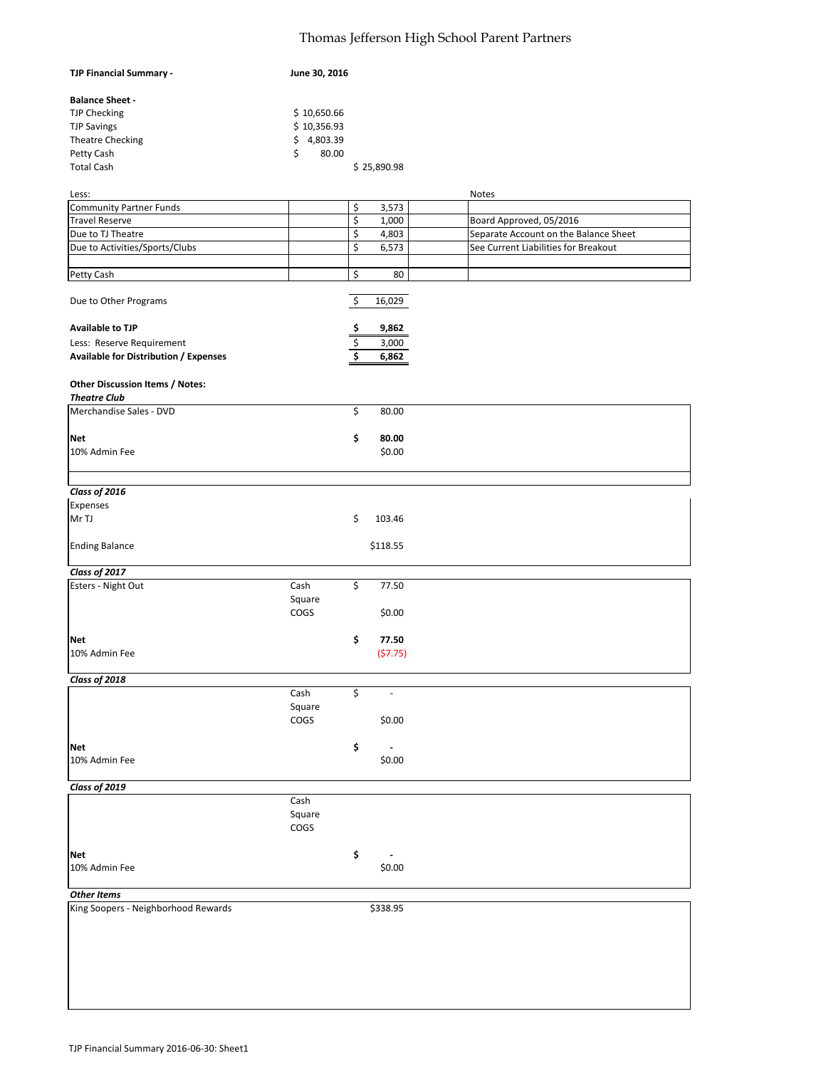## Thomas Jefferson High School Parent Partners

| TJP Financial Summary -                      | June 30, 2016 |     |             |                                       |
|----------------------------------------------|---------------|-----|-------------|---------------------------------------|
| <b>Balance Sheet -</b>                       |               |     |             |                                       |
| <b>TJP Checking</b>                          | \$10,650.66   |     |             |                                       |
| <b>TJP Savings</b>                           | \$10,356.93   |     |             |                                       |
| <b>Theatre Checking</b>                      | \$4,803.39    |     |             |                                       |
| Petty Cash                                   | \$<br>80.00   |     |             |                                       |
| <b>Total Cash</b>                            |               |     | \$25,890.98 |                                       |
|                                              |               |     |             |                                       |
| Less:                                        |               |     |             | <b>Notes</b>                          |
| <b>Community Partner Funds</b>               |               | \$  | 3,573       |                                       |
| <b>Travel Reserve</b>                        |               | \$  | 1,000       | Board Approved, 05/2016               |
| Due to TJ Theatre                            |               | \$  | 4,803       | Separate Account on the Balance Sheet |
| Due to Activities/Sports/Clubs               |               | \$  | 6,573       | See Current Liabilities for Breakout  |
|                                              |               |     |             |                                       |
| Petty Cash                                   |               | \$  | 80          |                                       |
| Due to Other Programs                        |               | \$  | 16,029      |                                       |
| <b>Available to TJP</b>                      |               | \$, | 9,862       |                                       |
|                                              |               |     |             |                                       |
| Less: Reserve Requirement                    |               | \$  | 3,000       |                                       |
| <b>Available for Distribution / Expenses</b> |               | \$  | 6,862       |                                       |
| Other Discussion Items / Notes:              |               |     |             |                                       |
| <b>Theatre Club</b>                          |               |     |             |                                       |
| Merchandise Sales - DVD                      |               | \$  | 80.00       |                                       |
| <b>Net</b>                                   |               | \$  | 80.00       |                                       |
| 10% Admin Fee                                |               |     | \$0.00      |                                       |
|                                              |               |     |             |                                       |
| Class of 2016                                |               |     |             |                                       |
|                                              |               |     |             |                                       |
| Expenses                                     |               |     |             |                                       |
| Mr TJ                                        |               | \$  | 103.46      |                                       |
| <b>Ending Balance</b>                        |               |     | \$118.55    |                                       |
| Class of 2017                                |               |     |             |                                       |
| Esters - Night Out                           | Cash          | \$  | 77.50       |                                       |
|                                              |               |     |             |                                       |
|                                              | Square        |     |             |                                       |
|                                              | COGS          |     | \$0.00      |                                       |
|                                              |               |     |             |                                       |
| <b>Net</b>                                   |               | \$  | 77.50       |                                       |
| 10% Admin Fee                                |               |     | (57.75)     |                                       |
|                                              |               |     |             |                                       |
| Class of 2018                                | Cash          | \$  | ä,          |                                       |
|                                              |               |     |             |                                       |
|                                              | Square        |     |             |                                       |
|                                              | COGS          |     | \$0.00      |                                       |
|                                              |               |     |             |                                       |
| <b>Net</b>                                   |               | \$  |             |                                       |
| 10% Admin Fee                                |               |     | \$0.00      |                                       |
| Class of 2019                                |               |     |             |                                       |
|                                              | Cash          |     |             |                                       |
|                                              | Square        |     |             |                                       |
|                                              | COGS          |     |             |                                       |
|                                              |               |     |             |                                       |
| <b>Net</b>                                   |               | \$  |             |                                       |
| 10% Admin Fee                                |               |     | \$0.00      |                                       |
|                                              |               |     |             |                                       |
| <b>Other Items</b>                           |               |     |             |                                       |
| King Soopers - Neighborhood Rewards          |               |     | \$338.95    |                                       |
|                                              |               |     |             |                                       |
|                                              |               |     |             |                                       |
|                                              |               |     |             |                                       |
|                                              |               |     |             |                                       |
|                                              |               |     |             |                                       |
|                                              |               |     |             |                                       |
|                                              |               |     |             |                                       |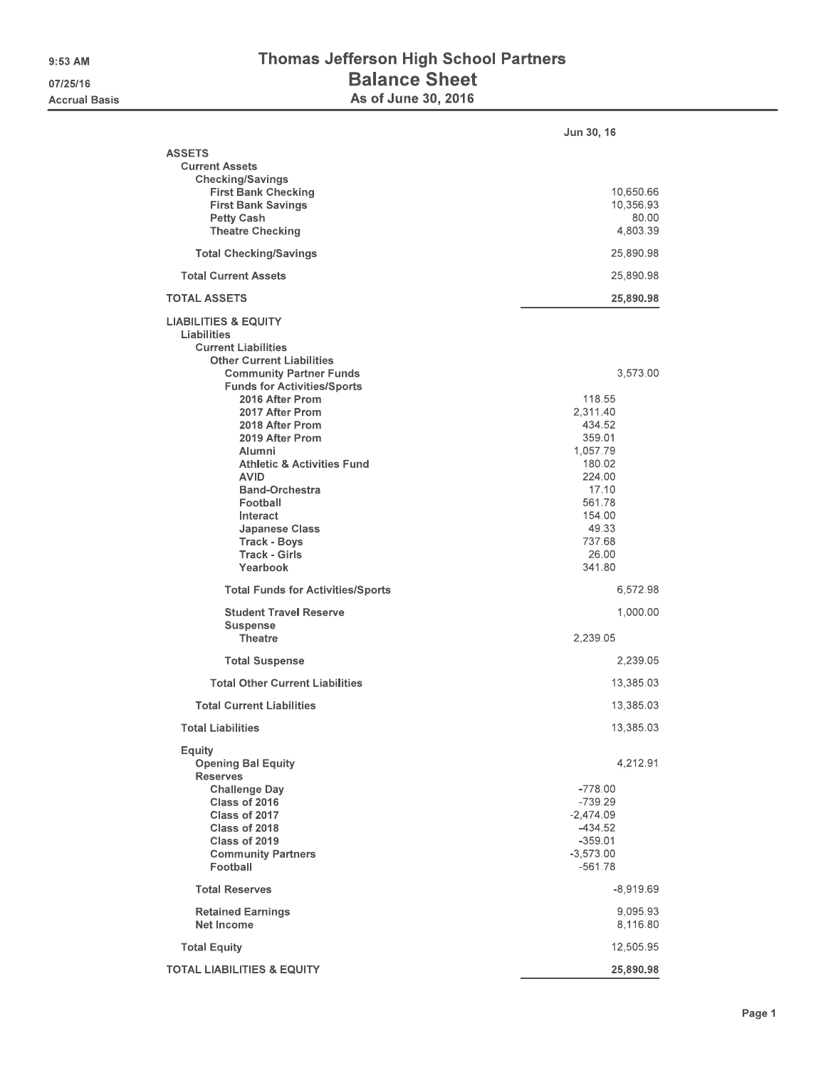## Thomas Jefferson High School Partners **Balance Sheet** As of June 30, 2016

|                                                                                                                                                                                                                                                                                                                                                                                                                                                                             | <b>Jun 30, 16</b>                                                                                                                                     |
|-----------------------------------------------------------------------------------------------------------------------------------------------------------------------------------------------------------------------------------------------------------------------------------------------------------------------------------------------------------------------------------------------------------------------------------------------------------------------------|-------------------------------------------------------------------------------------------------------------------------------------------------------|
| <b>ASSETS</b><br><b>Current Assets</b><br><b>Checking/Savings</b><br><b>First Bank Checking</b><br><b>First Bank Savings</b><br><b>Petty Cash</b><br><b>Theatre Checking</b>                                                                                                                                                                                                                                                                                                | 10,650.66<br>10,356.93<br>80.00<br>4,803.39                                                                                                           |
| <b>Total Checking/Savings</b>                                                                                                                                                                                                                                                                                                                                                                                                                                               | 25,890.98                                                                                                                                             |
| <b>Total Current Assets</b>                                                                                                                                                                                                                                                                                                                                                                                                                                                 | 25,890.98                                                                                                                                             |
| <b>TOTAL ASSETS</b>                                                                                                                                                                                                                                                                                                                                                                                                                                                         | 25,890.98                                                                                                                                             |
| <b>LIABILITIES &amp; EQUITY</b><br>Liabilities<br><b>Current Liabilities</b><br><b>Other Current Liabilities</b><br><b>Community Partner Funds</b><br><b>Funds for Activities/Sports</b><br>2016 After Prom<br>2017 After Prom<br>2018 After Prom<br>2019 After Prom<br>Alumni<br><b>Athletic &amp; Activities Fund</b><br><b>AVID</b><br><b>Band-Orchestra</b><br>Football<br>Interact<br><b>Japanese Class</b><br><b>Track - Boys</b><br><b>Track - Girls</b><br>Yearbook | 3,573.00<br>118,55<br>2,311.40<br>434.52<br>359.01<br>1,057.79<br>180,02<br>224.00<br>17.10<br>561.78<br>154.00<br>49.33<br>737.68<br>26,00<br>341.80 |
| <b>Total Funds for Activities/Sports</b>                                                                                                                                                                                                                                                                                                                                                                                                                                    | 6,572.98                                                                                                                                              |
| <b>Student Travel Reserve</b><br><b>Suspense</b><br><b>Theatre</b>                                                                                                                                                                                                                                                                                                                                                                                                          | 1,000.00<br>2,239.05                                                                                                                                  |
| <b>Total Suspense</b>                                                                                                                                                                                                                                                                                                                                                                                                                                                       | 2,239.05                                                                                                                                              |
| <b>Total Other Current Liabilities</b><br><b>Total Current Liabilities</b>                                                                                                                                                                                                                                                                                                                                                                                                  | 13,385.03<br>13,385.03                                                                                                                                |
| <b>Total Liabilities</b>                                                                                                                                                                                                                                                                                                                                                                                                                                                    | 13,385.03                                                                                                                                             |
| Equity<br><b>Opening Bal Equity</b><br><b>Reserves</b><br><b>Challenge Day</b><br>Class of 2016<br>Class of 2017<br>Class of 2018<br>Class of 2019<br><b>Community Partners</b><br>Football                                                                                                                                                                                                                                                                                 | 4,212.91<br>$-778.00$<br>$-739.29$<br>$-2,474.09$<br>$-434.52$<br>$-359.01$<br>$-3,573.00$<br>$-561.78$                                               |
| <b>Total Reserves</b>                                                                                                                                                                                                                                                                                                                                                                                                                                                       | $-8,919.69$                                                                                                                                           |
| <b>Retained Earnings</b><br>Net Income                                                                                                                                                                                                                                                                                                                                                                                                                                      | 9,095.93<br>8,116.80                                                                                                                                  |
| <b>Total Equity</b>                                                                                                                                                                                                                                                                                                                                                                                                                                                         | 12,505.95                                                                                                                                             |
| <b>TOTAL LIABILITIES &amp; EQUITY</b>                                                                                                                                                                                                                                                                                                                                                                                                                                       | 25,890,98                                                                                                                                             |